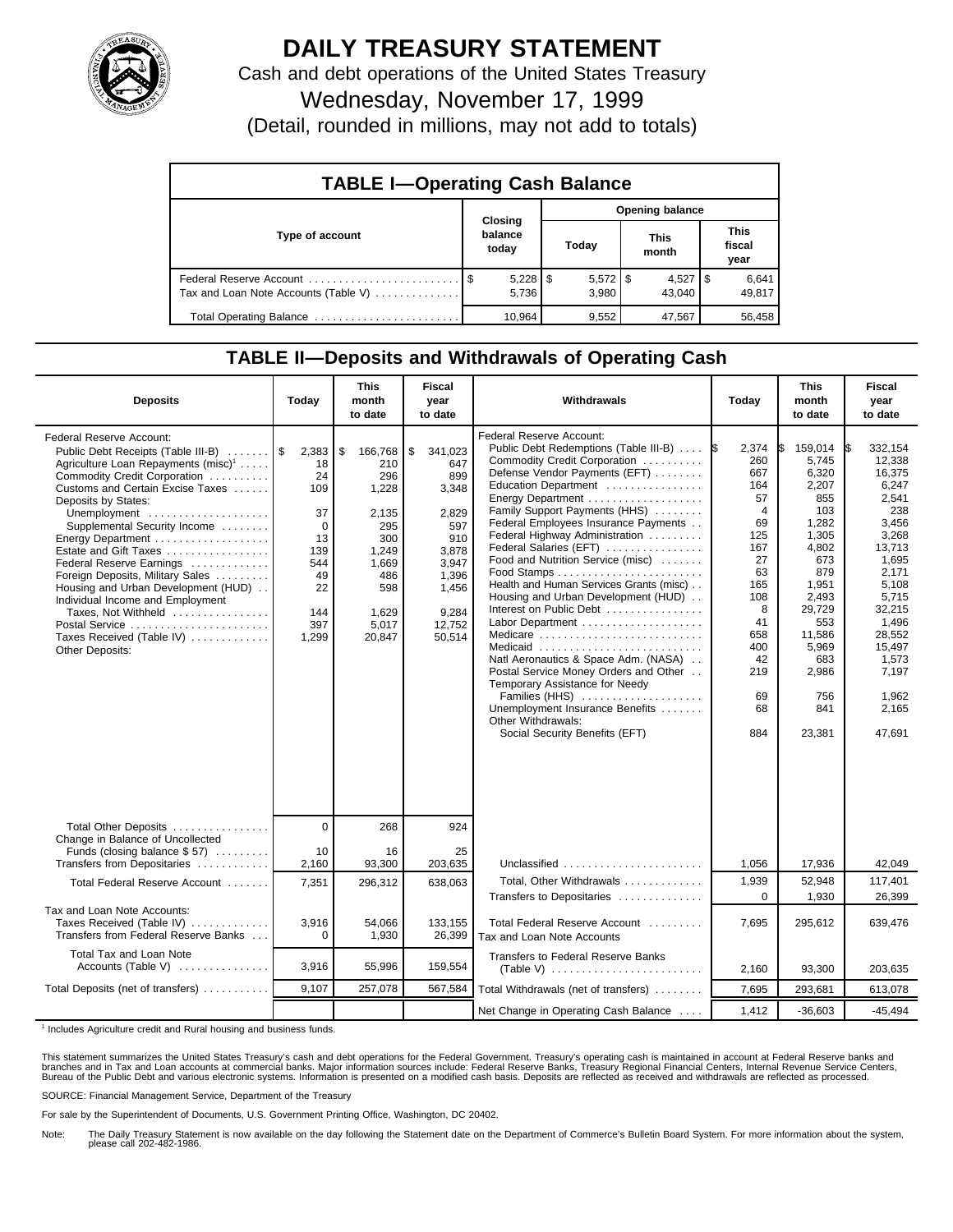

## **DAILY TREASURY STATEMENT**

Cash and debt operations of the United States Treasury Wednesday, November 17, 1999

(Detail, rounded in millions, may not add to totals)

| <b>TABLE I-Operating Cash Balance</b> |         |                       |                        |                       |  |                        |  |                               |  |  |
|---------------------------------------|---------|-----------------------|------------------------|-----------------------|--|------------------------|--|-------------------------------|--|--|
|                                       | Closing |                       | <b>Opening balance</b> |                       |  |                        |  |                               |  |  |
| Type of account                       |         | balance<br>today      |                        | Today                 |  | <b>This</b><br>month   |  | <b>This</b><br>fiscal<br>year |  |  |
| Tax and Loan Note Accounts (Table V)  |         | $5,228$   \$<br>5.736 |                        | $5,572$   \$<br>3.980 |  | $4,527$   \$<br>43.040 |  | 6,641<br>49.817               |  |  |
| Total Operating Balance               |         | 10.964                |                        | 9.552                 |  | 47.567                 |  | 56.458                        |  |  |

## **TABLE II—Deposits and Withdrawals of Operating Cash**

| <b>Deposits</b>                                                                                                                                                                                                                                                                                                                                                                                                                                                                                                                                              | Today                                                                                      | <b>This</b><br>month<br>to date                                                                                         | <b>Fiscal</b><br>year<br>to date                                                                                             | Withdrawals                                                                                                                                                                                                                                                                                                                                                                                                                                                                                                                                                                                                                                                                                                                   | Today                                                                                                                                                            | <b>This</b><br>month<br>to date                                                                                                                                                         | <b>Fiscal</b><br>year<br>to date                                                                                                                                                                          |
|--------------------------------------------------------------------------------------------------------------------------------------------------------------------------------------------------------------------------------------------------------------------------------------------------------------------------------------------------------------------------------------------------------------------------------------------------------------------------------------------------------------------------------------------------------------|--------------------------------------------------------------------------------------------|-------------------------------------------------------------------------------------------------------------------------|------------------------------------------------------------------------------------------------------------------------------|-------------------------------------------------------------------------------------------------------------------------------------------------------------------------------------------------------------------------------------------------------------------------------------------------------------------------------------------------------------------------------------------------------------------------------------------------------------------------------------------------------------------------------------------------------------------------------------------------------------------------------------------------------------------------------------------------------------------------------|------------------------------------------------------------------------------------------------------------------------------------------------------------------|-----------------------------------------------------------------------------------------------------------------------------------------------------------------------------------------|-----------------------------------------------------------------------------------------------------------------------------------------------------------------------------------------------------------|
| <b>Federal Reserve Account:</b><br>Public Debt Receipts (Table III-B)<br>Agriculture Loan Repayments (misc) <sup>1</sup><br>Commodity Credit Corporation<br>Customs and Certain Excise Taxes<br>Deposits by States:<br>Unemployment<br>Supplemental Security Income<br>Energy Department<br>Estate and Gift Taxes<br>Federal Reserve Earnings<br>Foreign Deposits, Military Sales<br>Housing and Urban Development (HUD)<br>Individual Income and Employment<br>Taxes, Not Withheld<br>Postal Service<br>Taxes Received (Table IV)<br><b>Other Deposits:</b> | 2,383<br>18<br>24<br>109<br>37<br>0<br>13<br>139<br>544<br>49<br>22<br>144<br>397<br>1,299 | \$<br>166,768<br>210<br>296<br>1,228<br>2,135<br>295<br>300<br>1,249<br>1,669<br>486<br>598<br>1.629<br>5,017<br>20,847 | \$<br>341,023<br>647<br>899<br>3,348<br>2.829<br>597<br>910<br>3,878<br>3,947<br>1,396<br>1,456<br>9.284<br>12,752<br>50,514 | Federal Reserve Account:<br>Public Debt Redemptions (Table III-B)<br>Commodity Credit Corporation<br>Defense Vendor Payments (EFT)<br>Education Department<br>Family Support Payments (HHS)<br>Federal Employees Insurance Payments<br>Federal Highway Administration<br>Federal Salaries (EFT)<br>Food and Nutrition Service (misc)<br>Health and Human Services Grants (misc)<br>Housing and Urban Development (HUD)<br>Interest on Public Debt<br>Labor Department<br>Medicare<br>Medicaid<br>Natl Aeronautics & Space Adm. (NASA)<br>Postal Service Money Orders and Other<br>Temporary Assistance for Needy<br>Families (HHS)<br>Unemployment Insurance Benefits<br>Other Withdrawals:<br>Social Security Benefits (EFT) | 2,374<br>I\$<br>260<br>667<br>164<br>57<br>$\overline{4}$<br>69<br>125<br>167<br>27<br>63<br>165<br>108<br>8<br>41<br>658<br>400<br>42<br>219<br>69<br>68<br>884 | 159,014<br>5,745<br>6,320<br>2,207<br>855<br>103<br>1,282<br>1.305<br>4,802<br>673<br>879<br>1,951<br>2,493<br>29,729<br>553<br>11,586<br>5,969<br>683<br>2,986<br>756<br>841<br>23,381 | 332,154<br>12,338<br>16,375<br>6.247<br>2,541<br>238<br>3,456<br>3.268<br>13,713<br>1,695<br>2,171<br>5,108<br>5,715<br>32,215<br>1,496<br>28,552<br>15.497<br>1,573<br>7,197<br>1,962<br>2,165<br>47,691 |
| Total Other Deposits<br>Change in Balance of Uncollected<br>Funds (closing balance $$57$ )                                                                                                                                                                                                                                                                                                                                                                                                                                                                   | $\Omega$<br>10                                                                             | 268<br>16                                                                                                               | 924<br>25                                                                                                                    |                                                                                                                                                                                                                                                                                                                                                                                                                                                                                                                                                                                                                                                                                                                               |                                                                                                                                                                  |                                                                                                                                                                                         |                                                                                                                                                                                                           |
| Transfers from Depositaries                                                                                                                                                                                                                                                                                                                                                                                                                                                                                                                                  | 2,160                                                                                      | 93,300                                                                                                                  | 203,635                                                                                                                      | Unclassified                                                                                                                                                                                                                                                                                                                                                                                                                                                                                                                                                                                                                                                                                                                  | 1,056                                                                                                                                                            | 17,936                                                                                                                                                                                  | 42,049                                                                                                                                                                                                    |
| Total Federal Reserve Account                                                                                                                                                                                                                                                                                                                                                                                                                                                                                                                                | 7,351                                                                                      | 296,312                                                                                                                 | 638.063                                                                                                                      | Total, Other Withdrawals                                                                                                                                                                                                                                                                                                                                                                                                                                                                                                                                                                                                                                                                                                      | 1,939                                                                                                                                                            | 52,948                                                                                                                                                                                  | 117,401                                                                                                                                                                                                   |
| Tax and Loan Note Accounts:<br>Taxes Received (Table IV)<br>Transfers from Federal Reserve Banks                                                                                                                                                                                                                                                                                                                                                                                                                                                             | 3,916<br>$\Omega$                                                                          | 54,066<br>1,930                                                                                                         | 133,155<br>26,399                                                                                                            | Transfers to Depositaries<br>Total Federal Reserve Account<br>Tax and Loan Note Accounts                                                                                                                                                                                                                                                                                                                                                                                                                                                                                                                                                                                                                                      | $\Omega$<br>7,695                                                                                                                                                | 1,930<br>295,612                                                                                                                                                                        | 26,399<br>639,476                                                                                                                                                                                         |
| Total Tax and Loan Note<br>Accounts (Table V) $\ldots$                                                                                                                                                                                                                                                                                                                                                                                                                                                                                                       | 3,916                                                                                      | 55,996                                                                                                                  | 159,554                                                                                                                      | Transfers to Federal Reserve Banks                                                                                                                                                                                                                                                                                                                                                                                                                                                                                                                                                                                                                                                                                            | 2,160                                                                                                                                                            | 93,300                                                                                                                                                                                  | 203,635                                                                                                                                                                                                   |
| Total Deposits (net of transfers)                                                                                                                                                                                                                                                                                                                                                                                                                                                                                                                            | 9,107                                                                                      | 257,078                                                                                                                 | 567,584                                                                                                                      | Total Withdrawals (net of transfers)                                                                                                                                                                                                                                                                                                                                                                                                                                                                                                                                                                                                                                                                                          | 7,695                                                                                                                                                            | 293,681                                                                                                                                                                                 | 613,078                                                                                                                                                                                                   |
|                                                                                                                                                                                                                                                                                                                                                                                                                                                                                                                                                              |                                                                                            |                                                                                                                         |                                                                                                                              | Net Change in Operating Cash Balance                                                                                                                                                                                                                                                                                                                                                                                                                                                                                                                                                                                                                                                                                          | 1,412                                                                                                                                                            | $-36,603$                                                                                                                                                                               | $-45,494$                                                                                                                                                                                                 |

<sup>1</sup> Includes Agriculture credit and Rural housing and business funds.

This statement summarizes the United States Treasury's cash and debt operations for the Federal Government. Treasury's operating cash is maintained in account at Federal Reserve banks and<br>branches and in Tax and Loan accou

SOURCE: Financial Management Service, Department of the Treasury

For sale by the Superintendent of Documents, U.S. Government Printing Office, Washington, DC 20402.

Note: The Daily Treasury Statement is now available on the day following the Statement date on the Department of Commerce's Bulletin Board System. For more information about the system, please call 202-482-1986.